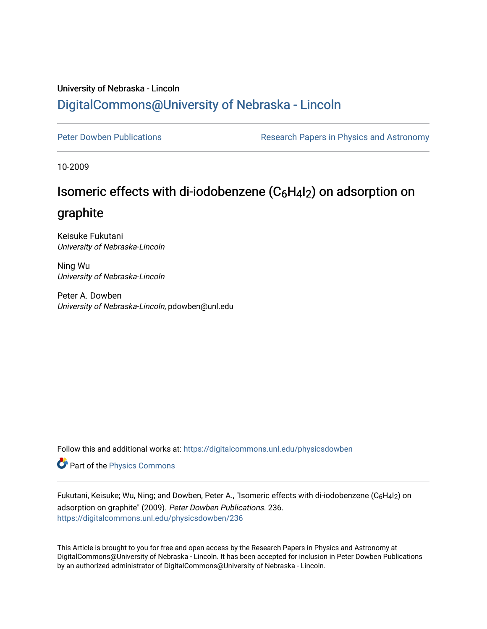### University of Nebraska - Lincoln [DigitalCommons@University of Nebraska - Lincoln](https://digitalcommons.unl.edu/)

[Peter Dowben Publications](https://digitalcommons.unl.edu/physicsdowben) **Research Papers in Physics and Astronomy** 

10-2009

## Isomeric effects with di-iodobenzene (C6H4I2) on adsorption on

### graphite

Keisuke Fukutani University of Nebraska-Lincoln

Ning Wu University of Nebraska-Lincoln

Peter A. Dowben University of Nebraska-Lincoln, pdowben@unl.edu

Follow this and additional works at: [https://digitalcommons.unl.edu/physicsdowben](https://digitalcommons.unl.edu/physicsdowben?utm_source=digitalcommons.unl.edu%2Fphysicsdowben%2F236&utm_medium=PDF&utm_campaign=PDFCoverPages) 

Part of the [Physics Commons](http://network.bepress.com/hgg/discipline/193?utm_source=digitalcommons.unl.edu%2Fphysicsdowben%2F236&utm_medium=PDF&utm_campaign=PDFCoverPages)

Fukutani, Keisuke; Wu, Ning; and Dowben, Peter A., "Isomeric effects with di-iodobenzene (C6H4l2) on adsorption on graphite" (2009). Peter Dowben Publications. 236. [https://digitalcommons.unl.edu/physicsdowben/236](https://digitalcommons.unl.edu/physicsdowben/236?utm_source=digitalcommons.unl.edu%2Fphysicsdowben%2F236&utm_medium=PDF&utm_campaign=PDFCoverPages) 

This Article is brought to you for free and open access by the Research Papers in Physics and Astronomy at DigitalCommons@University of Nebraska - Lincoln. It has been accepted for inclusion in Peter Dowben Publications by an authorized administrator of DigitalCommons@University of Nebraska - Lincoln.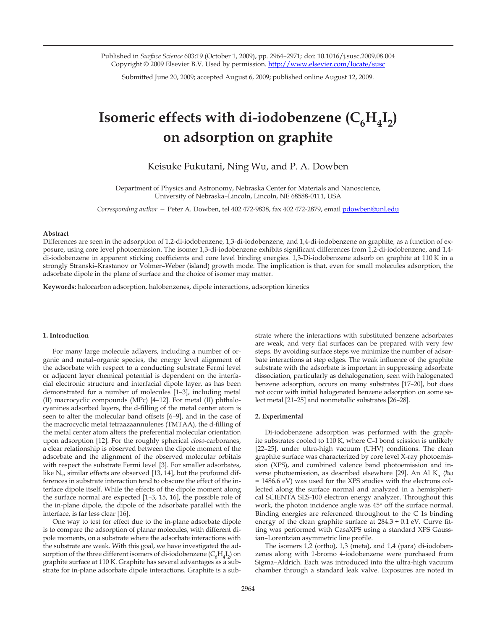Published in *Surface Science* 603:19 (October 1, 2009), pp. 2964–2971; doi: 10.1016/j.susc.2009.08.004 Copyright © 2009 Elsevier B.V. Used by permission. http://www.elsevier.com/locate/susc

Submitted June 20, 2009; accepted August 6, 2009; published online August 12, 2009.

# **Isomeric effects with di-iodobenzene**  $(C_6H_4I_2)$ **on adsorption on graphite**

Keisuke Fukutani, Ning Wu, and P. A. Dowben

Department of Physics and Astronomy, Nebraska Center for Materials and Nanoscience, University of Nebraska–Lincoln, Lincoln, NE 68588-0111, USA

*Corresponding author —* Peter A. Dowben, tel 402 472-9838, fax 402 472-2879, email pdowben@unl.edu

#### **Abstract**

Differences are seen in the adsorption of 1,2-di-iodobenzene, 1,3-di-iodobenzene, and 1,4-di-iodobenzene on graphite, as a function of exposure, using core level photoemission. The isomer 1,3-di-iodobenzene exhibits significant differences from 1,2-di-iodobenzene, and 1,4 di-iodobenzene in apparent sticking coefficients and core level binding energies. 1,3-Di-iodobenzene adsorb on graphite at 110 K in a strongly Stranski–Krastanov or Volmer–Weber (island) growth mode. The implication is that, even for small molecules adsorption, the adsorbate dipole in the plane of surface and the choice of isomer may matter.

**Keywords:** halocarbon adsorption, halobenzenes, dipole interactions, adsorption kinetics

#### **1. Introduction**

For many large molecule adlayers, including a number of organic and metal–organic species, the energy level alignment of the adsorbate with respect to a conducting substrate Fermi level or adjacent layer chemical potential is dependent on the interfacial electronic structure and interfacial dipole layer, as has been demonstrated for a number of molecules [1–3], including metal (II) macrocyclic compounds (MPc) [4–12]. For metal (II) phthalocyanines adsorbed layers, the d-filling of the metal center atom is seen to alter the molecular band offsets [6–9], and in the case of the macrocyclic metal tetraazaannulenes (TMTAA), the d-filling of the metal center atom alters the preferential molecular orientation upon adsorption [12]. For the roughly spherical *closo*-carboranes, a clear relationship is observed between the dipole moment of the adsorbate and the alignment of the observed molecular orbitals with respect the substrate Fermi level [3]. For smaller adsorbates, like  $N_{2}$ , similar effects are observed [13, 14], but the profound differences in substrate interaction tend to obscure the effect of the interface dipole itself. While the effects of the dipole moment along the surface normal are expected [1–3, 15, 16], the possible role of the in-plane dipole, the dipole of the adsorbate parallel with the interface, is far less clear [16].

One way to test for effect due to the in-plane adsorbate dipole is to compare the adsorption of planar molecules, with different dipole moments, on a substrate where the adsorbate interactions with the substrate are weak. With this goal, we have investigated the adsorption of the three different isomers of di-iodobenzene  $(C_6H_4I_2)$  on graphite surface at 110 K. Graphite has several advantages as a substrate for in-plane adsorbate dipole interactions. Graphite is a substrate where the interactions with substituted benzene adsorbates are weak, and very flat surfaces can be prepared with very few steps. By avoiding surface steps we minimize the number of adsorbate interactions at step edges. The weak influence of the graphite substrate with the adsorbate is important in suppressing adsorbate dissociation, particularly as dehalogenation, seen with halogenated benzene adsorption, occurs on many substrates [17–20], but does not occur with initial halogenated benzene adsorption on some select metal [21–25] and nonmetallic substrates [26–28].

#### **2. Experimental**

Di-iodobenzene adsorption was performed with the graphite substrates cooled to 110 K, where C–I bond scission is unlikely [22–25], under ultra-high vacuum (UHV) conditions. The clean graphite surface was characterized by core level X-ray photoemission (XPS), and combined valence band photoemission and inverse photoemission, as described elsewhere [29]. An Al K<sub>α</sub> (*ħω* = 1486.6 eV) was used for the XPS studies with the electrons collected along the surface normal and analyzed in a hemispherical SCIENTA SES-100 electron energy analyzer. Throughout this work, the photon incidence angle was 45° off the surface normal. Binding energies are referenced throughout to the C 1s binding energy of the clean graphite surface at 284.3 + 0.1 eV. Curve fitting was performed with CasaXPS using a standard XPS Gaussian–Lorentzian asymmetric line profile.

The isomers 1,2 (ortho), 1,3 (meta), and 1,4 (para) di-iodobenzenes along with 1-bromo 4-iodobenzene were purchased from Sigma–Aldrich. Each was introduced into the ultra-high vacuum chamber through a standard leak valve. Exposures are noted in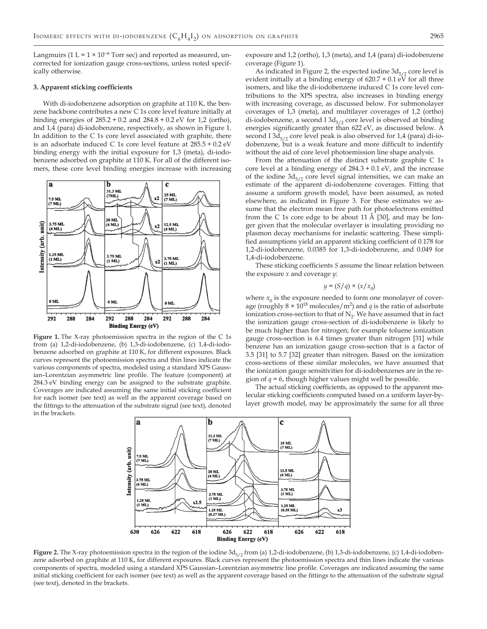Langmuirs (1 L =  $1 \times 10^{-6}$  Torr sec) and reported as measured, uncorrected for ionization gauge cross-sections, unless noted specifically otherwise.

#### **3. Apparent sticking coefficients**

With di-iodobenzene adsorption on graphite at 110 K, the benzene backbone contributes a new C 1s core level feature initially at binding energies of 285.2 + 0.2 and 284.8 + 0.2 eV for 1,2 (ortho), and 1,4 (para) di-iodobenzene, respectively, as shown in Figure 1. In addition to the C 1s core level associated with graphite, there is an adsorbate induced C 1s core level feature at 285.5 + 0.2 eV binding energy with the initial exposure for 1,3 (meta), di-iodobenzene adsorbed on graphite at 110 K. For all of the different isomers, these core level binding energies increase with increasing



**Figure 1.** The X-ray photoemission spectra in the region of the C 1s from (a) 1,2-di-iodobenzene, (b) 1,3-di-iodobenzene, (c) 1,4-di-iodobenzene adsorbed on graphite at 110 K, for different exposures. Black curves represent the photoemission spectra and thin lines indicate the various components of spectra, modeled using a standard XPS Gaussian–Lorentzian asymmetric line profile. The feature (component) at 284.3 eV binding energy can be assigned to the substrate graphite. Coverages are indicated assuming the same initial sticking coefficient for each isomer (see text) as well as the apparent coverage based on the fittings to the attenuation of the substrate signal (see text), denoted in the brackets.

exposure and 1,2 (ortho), 1,3 (meta), and 1,4 (para) di-iodobenzene coverage (Figure 1).

As indicated in Figure 2, the expected iodine  $3d_{5/2}$  core level is evident initially at a binding energy of  $620.7 + 0.1$  eV for all three isomers, and like the di-iodobenzene induced C 1s core level contributions to the XPS spectra, also increases in binding energy with increasing coverage, as discussed below. For submonolayer coverages of 1,3 (meta), and multilayer coverages of 1,2 (ortho) di-iodobenzene, a second I  $3d_{5/2}$  core level is observed at binding energies significantly greater than 622 eV, as discussed below. A second I  $3d_{5/2}$  core level peak is also observed for 1,4 (para) di-iodobenzene, but is a weak feature and more difficult to indentify without the aid of core level photoemission line shape analysis.

From the attenuation of the distinct substrate graphite C 1s core level at a binding energy of 284.3 + 0.1 eV, and the increase of the iodine  $3d_{5/2}$  core level signal intensities, we can make an estimate of the apparent di-iodobenzene coverages. Fitting that assume a uniform growth model, have been assumed, as noted elsewhere, as indicated in Figure 3. For these estimates we assume that the electron mean free path for photoelectrons emitted from the C 1s core edge to be about 11 Å [30], and may be longer given that the molecular overlayer is insulating providing no plasmon decay mechanisms for inelastic scattering. These simplified assumptions yield an apparent sticking coefficient of 0.178 for 1,2-di-iodobenzene, 0.0385 for 1,3-di-iodobenzene, and 0.049 for 1,4-di-iodobenzene.

These sticking coefficients *S* assume the linear relation between the exposure *x* and coverage *y*:

$$
y = (S/q) \times (x/x_0)
$$

where  $x_0$  is the exposure needed to form one monolayer of coverage (roughly  $8 \times 10^{18}$  molecules/m<sup>2</sup>) and  $q$  is the ratio of adsorbate ionization cross-section to that of  $N_2$ . We have assumed that in fact the ionization gauge cross-section of di-iodobenzene is likely to be much higher than for nitrogen; for example toluene ionization gauge cross-section is 6.4 times greater than nitrogen [31] while benzene has an ionization gauge cross-section that is a factor of 3.5 [31] to 5.7 [32] greater than nitrogen. Based on the ionization cross-sections of these similar molecules, we have assumed that the ionization gauge sensitivities for di-iodobenzenes are in the region of  $q = 6$ , though higher values might well be possible.

The actual sticking coefficients, as opposed to the apparent molecular sticking coefficients computed based on a uniform layer-bylayer growth model, may be approximately the same for all three



Figure 2. The X-ray photoemission spectra in the region of the iodine 3d<sub>5/2</sub> from (a) 1,2-di-iodobenzene, (b) 1,3-di-iodobenzene, (c) 1,4-di-iodobenzene adsorbed on graphite at 110 K, for different exposures. Black curves represent the photoemission spectra and thin lines indicate the various components of spectra, modeled using a standard XPS Gaussian–Lorentzian asymmetric line profile. Coverages are indicated assuming the same initial sticking coefficient for each isomer (see text) as well as the apparent coverage based on the fittings to the attenuation of the substrate signal (see text), denoted in the brackets.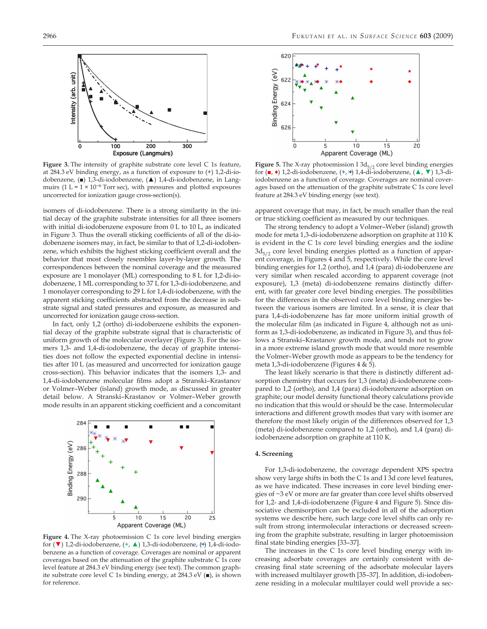

**Figure 3.** The intensity of graphite substrate core level C 1s feature, at 284.3 eV binding energy, as a function of exposure to (+) 1,2-di-iodobenzene, (■) 1,3-di-iodobenzene, (▲) 1,4-di-iodobenzene, in Langmuirs (1 L =  $1 \times 10^{-6}$  Torr sec), with pressures and plotted exposures uncorrected for ionization gauge cross-section(s).

isomers of di-iodobenzene. There is a strong similarity in the initial decay of the graphite substrate intensities for all three isomers with initial di-iodobenzene exposure from 0 L to 10 L, as indicated in Figure 3. Thus the overall sticking coefficients of all of the di-iodobenzene isomers may, in fact, be similar to that of 1,2-di-iodobenzene, which exhibits the highest sticking coefficient overall and the behavior that most closely resembles layer-by-layer growth. The correspondences between the nominal coverage and the measured exposure are 1 monolayer (ML) corresponding to 8 L for 1,2-di-iodobenzene, 1 ML corresponding to 37 L for 1,3-di-iodobenzene, and 1 monolayer corresponding to 29 L for 1,4-di-iodobenzene, with the apparent sticking coefficients abstracted from the decrease in substrate signal and stated pressures and exposure, as measured and uncorrected for ionization gauge cross-section.

In fact, only 1,2 (ortho) di-iodobenzene exhibits the exponential decay of the graphite substrate signal that is characteristic of uniform growth of the molecular overlayer (Figure 3). For the isomers 1,3- and 1,4-di-iodobenzene, the decay of graphite intensities does not follow the expected exponential decline in intensities after 10 L (as measured and uncorrected for ionization gauge cross-section). This behavior indicates that the isomers 1,3- and 1,4-di-iodobenzene molecular films adopt a Stranski–Krastanov or Volmer–Weber (island) growth mode, as discussed in greater detail below. A Stranski–Krastanov or Volmer–Weber growth mode results in an apparent sticking coefficient and a concomitant



**Figure 4.** The X-ray photoemission C 1s core level binding energies for (▼) 1,2-di-iodobenzene, (**+**, ▲) 1,3-di-iodobenzene, (+×) 1,4-di-iodobenzene as a function of coverage. Coverages are nominal or apparent coverages based on the attenuation of the graphite substrate C 1s core level feature at 284.3 eV binding energy (see text). The common graphite substrate core level C 1s binding energy, at 284.3 eV (■), is shown for reference.



**Figure 5.** The X-ray photoemission I  $3d_{5/2}$  core level binding energies for (■, ♦) 1,2-di-iodobenzene, (**+**, +×) 1,4-di-iodobenzene, (▲, ▼) 1,3-diiodobenzene as a function of coverage. Coverages are nominal coverages based on the attenuation of the graphite substrate C 1s core level feature at 284.3 eV binding energy (see text).

apparent coverage that may, in fact, be much smaller than the real or true sticking coefficient as measured by our techniques.

The strong tendency to adopt a Volmer–Weber (island) growth mode for meta 1,3-di-iodobenzene adsorption on graphite at 110 K is evident in the C 1s core level binding energies and the iodine  $3d_{5/2}$  core level binding energies plotted as a function of apparent coverage, in Figures 4 and 5, respectively. While the core level binding energies for 1,2 (ortho), and 1,4 (para) di-iodobenzene are very similar when rescaled according to apparent coverage (not exposure), 1,3 (meta) di-iodobenzene remains distinctly different, with far greater core level binding energies. The possibilities for the differences in the observed core level binding energies between the various isomers are limited. In a sense, it is clear that para 1,4-di-iodobenzene has far more uniform initial growth of the molecular film (as indicated in Figure 4, although not as uniform as 1,3-di-iodobenzene, as indicated in Figure 3), and thus follows a Stranski–Krastanov growth mode, and tends not to grow in a more extreme island growth mode that would more resemble the Volmer–Weber growth mode as appears to be the tendency for meta 1,3-di-iodobenzene (Figures 4 & 5).

The least likely scenario is that there is distinctly different adsorption chemistry that occurs for 1,3 (meta) di-iodobenzene compared to 1,2 (ortho), and 1,4 (para) di-iodobenzene adsorption on graphite; our model density functional theory calculations provide no indication that this would or should be the case. Intermolecular interactions and different growth modes that vary with isomer are therefore the most likely origin of the differences observed for 1,3 (meta) di-iodobenzene compared to 1,2 (ortho), and 1,4 (para) diiodobenzene adsorption on graphite at 110 K.

#### **4. Screening**

For 1,3-di-iodobenzene, the coverage dependent XPS spectra show very large shifts in both the C 1s and I 3d core level features, as we have indicated. These increases in core level binding energies of ~3 eV or more are far greater than core level shifts observed for 1,2- and 1,4-di-iodobenzene (Figure 4 and Figure 5). Since dissociative chemisorption can be excluded in all of the adsorption systems we describe here, such large core level shifts can only result from strong intermolecular interactions or decreased screening from the graphite substrate, resulting in larger photoemission final state binding energies [33–37].

The increases in the C 1s core level binding energy with increasing adsorbate coverages are certainly consistent with decreasing final state screening of the adsorbate molecular layers with increased multilayer growth [35–37]. In addition, di-iodobenzene residing in a molecular multilayer could well provide a sec-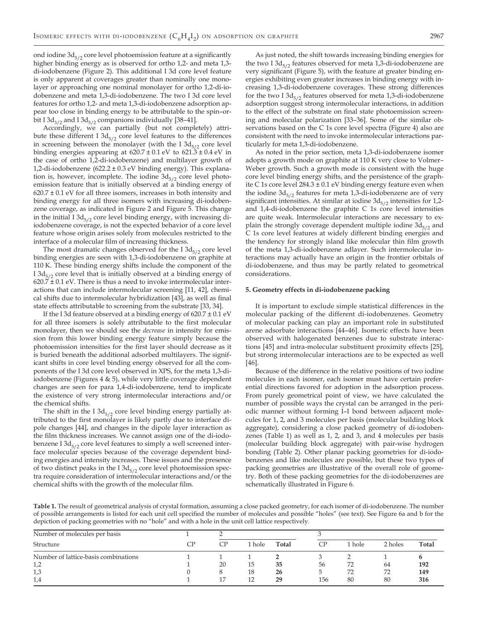ond iodine  $3d_{5/2}$  core level photoemission feature at a significantly higher binding energy as is observed for ortho 1,2- and meta 1,3 di-iodobenzene (Figure 2). This additional I 3d core level feature is only apparent at coverages greater than nominally one monolayer or approaching one nominal monolayer for ortho 1,2-di-iodobenzene and meta 1,3-di-iodobenzene. The two I 3d core level features for ortho 1,2- and meta 1,3-di-iodobenzene adsorption appear too close in binding energy to be attributable to the spin–orbit I 3d<sub>3/2</sub> and I 3d<sub>5/2</sub> companions individually [38–41].

Accordingly, we can partially (but not completely) attribute these different I  $3d_{5/2}$  core level features to the differences in screening between the monolayer (with the I  $3d_{5/2}$  core level binding energies appearing at  $620.7 \pm 0.1$  eV to  $621.3 \pm 0.4$  eV in the case of ortho 1,2-di-iodobenzene) and multilayer growth of 1,2-di-iodobenzene (622.2 ± 0.3 eV binding energy). This explanation is, however, incomplete. The iodine  $3d_{5/2}$  core level photoemission feature that is initially observed at a binding energy of  $620.7 \pm 0.1$  eV for all three isomers, increases in both intensity and binding energy for all three isomers with increasing di-iodobenzene coverage, as indicated in Figure 2 and Figure 5. This change in the initial I  $3d_{5/2}$  core level binding energy, with increasing diiodobenzene coverage, is not the expected behavior of a core level feature whose origin arises solely from molecules restricted to the interface of a molecular film of increasing thickness.

The most dramatic changes observed for the I  $3d_{5/2}$  core level binding energies are seen with 1,3-di-iodobenzene on graphite at 110 K. These binding energy shifts include the component of the I  $3d_{5/2}$  core level that is initially observed at a binding energy of  $620.7 \pm 0.1$  eV. There is thus a need to invoke intermolecular interactions that can include intermolecular screening [11, 42], chemical shifts due to intermolecular hybridization [43], as well as final state effects attributable to screening from the substrate [33, 34].

If the I 3d feature observed at a binding energy of  $620.7 \pm 0.1$  eV for all three isomers is solely attributable to the first molecular monolayer, then we should see the *decrease* in intensity for emission from this lower binding energy feature simply because the photoemission intensities for the first layer should decrease as it is buried beneath the additional adsorbed multilayers. The significant shifts in core level binding energy observed for all the components of the I 3d core level observed in XPS, for the meta 1,3-diiodobenzene (Figures 4 & 5), while very little coverage dependent changes are seen for para 1,4-di-iodobenzene, tend to implicate the existence of very strong intermolecular interactions and/or the chemical shifts.

The shift in the I  $3d_{5/2}$  core level binding energy partially attributed to the first monolayer is likely partly due to interface dipole changes [44], and changes in the dipole layer interaction as the film thickness increases. We cannot assign one of the di-iodobenzene I  $3d_{5/2}$  core level features to simply a well screened interface molecular species because of the coverage dependent binding energies and intensity increases. These issues and the presence of two distinct peaks in the I  $3d_{5/2}$  core level photoemission spectra require consideration of intermolecular interactions and/or the chemical shifts with the growth of the molecular film.

As just noted, the shift towards increasing binding energies for the two I  $3d_{5/2}$  features observed for meta 1,3-di-iodobenzene are very significant (Figure 5), with the feature at greater binding energies exhibiting even greater increases in binding energy with increasing 1,3-di-iodobenzene coverages. These strong differences for the two I  $3d_{5/2}$  features observed for meta 1,3-di-iodobenzene adsorption suggest strong intermolecular interactions, in addition to the effect of the substrate on final state photoemission screening and molecular polarization [33–36]. Some of the similar observations based on the C 1s core level spectra (Figure 4) also are consistent with the need to invoke intermolecular interactions particularly for meta 1,3-di-iodobenzene.

As noted in the prior section, meta 1,3-di-iodobenzene isomer adopts a growth mode on graphite at 110 K very close to Volmer– Weber growth. Such a growth mode is consistent with the huge core level binding energy shifts, and the persistence of the graphite C 1s core level 284.3 ± 0.1 eV binding energy feature even when the iodine  $3d_{5/2}$  features for meta 1,3-di-iodobenzene are of very significant intensities. At similar at iodine  $3d_{5/2}$  intensities for 1,2and 1,4-di-iodobenzene the graphite C 1s core level intensities are quite weak. Intermolecular interactions are necessary to explain the strongly coverage dependent multiple iodine  $3d_{5/2}$  and C 1s core level features at widely different binding energies and the tendency for strongly island like molecular thin film growth of the meta 1,3-di-iodobenzene adlayer. Such intermolecular interactions may actually have an origin in the frontier orbitals of di-iodobenzene, and thus may be partly related to geometrical considerations.

#### **5. Geometry effects in di-iodobenzene packing**

It is important to exclude simple statistical differences in the molecular packing of the different di-iodobenzenes. Geometry of molecular packing can play an important role in substituted arene adsorbate interactions [44–46]. Isomeric effects have been observed with halogenated benzenes due to substrate interactions [45] and intra-molecular substituent proximity effects [25], but strong intermolecular interactions are to be expected as well [46].

Because of the difference in the relative positions of two iodine molecules in each isomer, each isomer must have certain preferential directions favored for adoption in the adsorption process. From purely geometrical point of view, we have calculated the number of possible ways the crystal can be arranged in the periodic manner without forming I–I bond between adjacent molecules for 1, 2, and 3 molecules per basis (molecular building block aggregate), considering a close packed geometry of di-iodobenzenes (Table 1) as well as 1, 2, and 3, and 4 molecules per basis (molecular building block aggregate) with pair-wise hydrogen bonding (Table 2). Other planar packing geometries for di-iodobenzenes and like molecules are possible, but these two types of packing geometries are illustrative of the overall role of geometry. Both of these packing geometries for the di-iodobenzenes are schematically illustrated in Figure 6.

**Table 1.** The result of geometrical analysis of crystal formation, assuming a close packed geometry, for each isomer of di-iodobenzene. The number of possible arrangements is listed for each unit cell specified the number of molecules and possible "holes" (see text). See Figure 6a and b for the depiction of packing geometries with no "hole" and with a hole in the unit cell lattice respectively.

| Number of molecules per basis        |    |     |        |       |     |        |         |       |
|--------------------------------------|----|-----|--------|-------|-----|--------|---------|-------|
| Structure                            | CP | CP. | l hole | Total |     | 1 hole | 2 holes | Total |
| Number of lattice-basis combinations |    |     |        |       |     |        |         |       |
| 1,2                                  |    | 20  | 15     | 35    | 56  | 72     | 64      | 192   |
| 1,3                                  |    | 8   | 18     | 26    |     | 72     | 72      | 149   |
| 1,4                                  |    | 17  |        | 29    | 156 | 80     | 80      | 316   |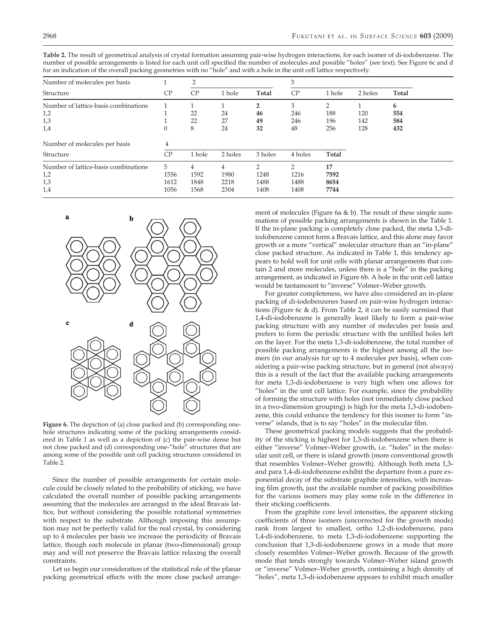**Table 2.** The result of geometrical analysis of crystal formation assuming pair-wise hydrogen interactions, for each isomer of di-iodobenzene. The number of possible arrangements is listed for each unit cell specified the number of molecules and possible "holes" (see text). See Figure 6c and d for an indication of the overall packing geometries with no "hole" and with a hole in the unit cell lattice respectively.

| Number of molecules per basis                             |                           | $\overline{2}$            |                                        |                                       | 3                                     |                            |            |            |  |
|-----------------------------------------------------------|---------------------------|---------------------------|----------------------------------------|---------------------------------------|---------------------------------------|----------------------------|------------|------------|--|
| Structure                                                 | CP                        | CP                        | 1 hole                                 | Total                                 | CP                                    | 1 hole                     | 2 holes    | Total      |  |
| Number of lattice-basis combinations<br>1,2               |                           | 22                        | 24                                     | 46                                    | 3<br>246                              | 188                        | 120        | 6<br>554   |  |
| 1,3<br>1,4                                                | 0                         | 22<br>8                   | 27<br>24                               | 49<br>32                              | 246<br>48                             | 196<br>256                 | 142<br>128 | 584<br>432 |  |
| Number of molecules per basis                             | 4                         |                           |                                        |                                       |                                       |                            |            |            |  |
| Structure                                                 | CP                        | 1 hole                    | 2 holes                                | 3 holes                               | 4 holes                               | Total                      |            |            |  |
| Number of lattice-basis combinations<br>1,2<br>1,3<br>1,4 | 5<br>1556<br>1612<br>1056 | 4<br>1592<br>1848<br>1568 | $\overline{4}$<br>1980<br>2218<br>2304 | $\mathcal{P}$<br>1248<br>1488<br>1408 | $\mathcal{P}$<br>1216<br>1488<br>1408 | 17<br>7592<br>8654<br>7744 |            |            |  |



**Figure 6.** The depiction of (a) close packed and (b) corresponding onehole structures indicating some of the packing arrangements considered in Table 1 as well as a depiction of (c) the pair-wise dense but not close packed and (d) corresponding one-"hole" structures that are among some of the possible unit cell packing structures considered in Table 2.

Since the number of possible arrangements for certain molecule could be closely related to the probability of sticking, we have calculated the overall number of possible packing arrangements assuming that the molecules are arranged in the ideal Bravais lattice, but without considering the possible rotational symmetries with respect to the substrate. Although imposing this assumption may not be perfectly valid for the real crystal, by considering up to 4 molecules per basis we increase the periodicity of Bravais lattice, though each molecule in planar (two-dimensional) group may and will not preserve the Bravais lattice relaxing the overall constraints.

Let us begin our consideration of the statistical role of the planar packing geometrical effects with the more close packed arrange-

ment of molecules (Figure 6a & b). The result of these simple summations of possible packing arrangements is shown in the Table 1. If the in-plane packing is completely close packed, the meta 1,3-diiodobenzene cannot form a Bravais lattice, and this alone may favor growth or a more "vertical" molecular structure than an "in-plane" close packed structure. As indicated in Table 1, this tendency appears to hold well for unit cells with planar arrangements that contain 2 and more molecules, unless there is a "hole" in the packing arrangement, as indicated in Figure 6b. A hole in the unit cell lattice would be tantamount to "inverse" Volmer–Weber growth.

For greater completeness, we have also considered an in-plane packing of di-iodobenzenes based on pair-wise hydrogen interactions (Figure 6c & d). From Table 2, it can be easily surmised that 1,4-di-iodobenzene is generally least likely to form a pair-wise packing structure with any number of molecules per basis and prefers to form the periodic structure with the unfilled holes left on the layer. For the meta 1,3-di-iodobenzene, the total number of possible packing arrangements is the highest among all the isomers (in our analysis for up to 4 molecules per basis), when considering a pair-wise packing structure, but in general (not always) this is a result of the fact that the available packing arrangements for meta 1,3-di-iodobenzene is very high when one allows for "holes" in the unit cell lattice. For example, since the probability of forming the structure with holes (not immediately close packed in a two-dimension grouping) is high for the meta 1,3-di-iodobenzene, this could enhance the tendency for this isomer to form "inverse" islands, that is to say "holes" in the molecular film.

These geometrical packing models suggests that the probability of the sticking is highest for 1,3-di-iodobenzene when there is either "inverse" Volmer–Weber growth, i.e. "holes" in the molecular unit cell, or there is island growth (more conventional growth that resembles Volmer–Weber growth). Although both meta 1,3 and para 1,4-di-iodobenzene exhibit the departure from a pure exponential decay of the substrate graphite intensities, with increasing film growth, just the available number of packing possibilities for the various isomers may play some role in the difference in their sticking coefficients.

From the graphite core level intensities, the apparent sticking coefficients of three isomers (uncorrected for the growth mode) rank from largest to smallest, ortho 1,2-di-iodobenzene, para 1,4-di-iodobenzene, to meta 1,3-di-iodobenzene supporting the conclusion that 1,3-di-iodobenzene grows in a mode that more closely resembles Volmer–Weber growth. Because of the growth mode that tends strongly towards Volmer–Weber island growth or "inverse" Volmer–Weber growth, containing a high density of "holes", meta 1,3-di-iodobenzene appears to exhibit much smaller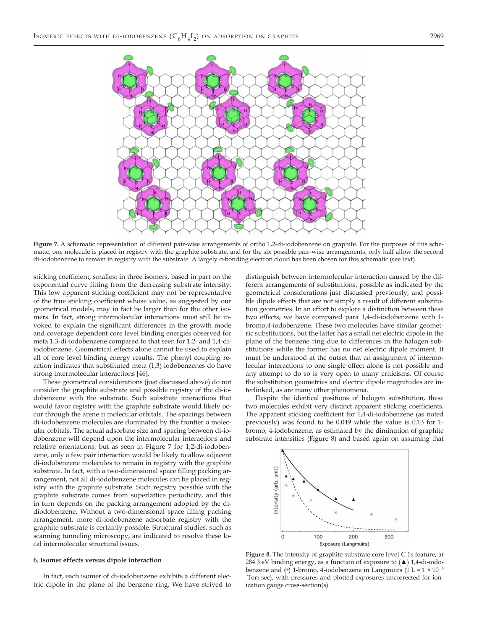

**Figure 7.** A schematic representation of different pair-wise arrangements of ortho 1,2-di-iodobenzene on graphite. For the purposes of this schematic, one molecule is placed in registry with the graphite substrate, and for the six possible pair-wise arrangements, only half allow the second di-iodobenzene to remain in registry with the substrate. A largely σ-bonding electron cloud has been chosen for this schematic (see text).

sticking coefficient, smallest in three isomers, based in part on the exponential curve fitting from the decreasing substrate intensity. This low apparent sticking coefficient may not be representative of the true sticking coefficient whose value, as suggested by our geometrical models, may in fact be larger than for the other isomers. In fact, strong intermolecular interactions must still be invoked to explain the significant differences in the growth mode and coverage dependent core level binding energies observed for meta 1,3-di-iodobenzene compared to that seen for 1,2- and 1,4-diiodobenzene. Geometrical effects alone cannot be used to explain all of core level binding energy results. The phenyl coupling reaction indicates that substituted meta (1,3) iodobenzenes do have strong intermolecular interactions [46].

These geometrical considerations (just discussed above) do not consider the graphite substrate and possible registry of the di-iodobenzene with the substrate. Such substrate interactions that would favor registry with the graphite substrate would likely occur through the arene π molecular orbitals. The spacings between di-iodobenzene molecules are dominated by the frontier σ molecular orbitals. The actual adsorbate size and spacing between di-iodobenzene will depend upon the intermolecular interactions and relative orientations, but as seen in Figure 7 for 1,2-di-iodobenzene, only a few pair interaction would be likely to allow adjacent di-iodobenzene molecules to remain in registry with the graphite substrate. In fact, with a two-dimensional space filling packing arrangement, not all di-iodobenzene molecules can be placed in registry with the graphite substrate. Such registry possible with the graphite substrate comes from superlattice periodicity, and this in turn depends on the packing arrangement adopted by the didiodobenzene. Without a two-dimensional space filling packing arrangement, more di-iodobenzene adsorbate registry with the graphite substrate is certainly possible. Structural studies, such as scanning tunneling microscopy, are indicated to resolve these local intermolecular structural issues.

#### **6. Isomer effects versus dipole interaction**

In fact, each isomer of di-iodobenzene exhibits a different electric dipole in the plane of the benzene ring. We have strived to

distinguish between intermolecular interaction caused by the different arrangements of substitutions, possible as indicated by the geometrical considerations just discussed previously, and possible dipole effects that are not simply a result of different substitution geometries. In an effort to explore a distinction between these two effects, we have compared para 1,4-di-iodobenzene with 1 bromo,4-iodobenzene. These two molecules have similar geometric substitutions, but the latter has a small net electric dipole in the plane of the benzene ring due to differences in the halogen substitutions while the former has no net electric dipole moment. It must be understood at the outset that an assignment of intermolecular interactions to one single effect alone is not possible and any attempt to do so is very open to many criticisms. Of course the substitution geometries and electric dipole magnitudes are interlinked, as are many other phenomena.

Despite the identical positions of halogen substitution, these two molecules exhibit very distinct apparent sticking coefficients. The apparent sticking coefficient for 1,4-di-iodobenzene (as noted previously) was found to be 0.049 while the value is 0.13 for 1 bromo, 4-iodobenzene, as estimated by the diminution of graphite substrate intensities (Figure 8) and based again on assuming that



**Figure 8.** The intensity of graphite substrate core level C 1s feature, at 284.3 eV binding energy, as a function of exposure to (▲) 1,4-di-iodobenzene and  $(*)$  1-bromo, 4-iodobenzene in Langmuirs (1 L =  $1 \times 10^{-6}$ Torr sec), with pressures and plotted exposures uncorrected for ionization gauge cross-section(s).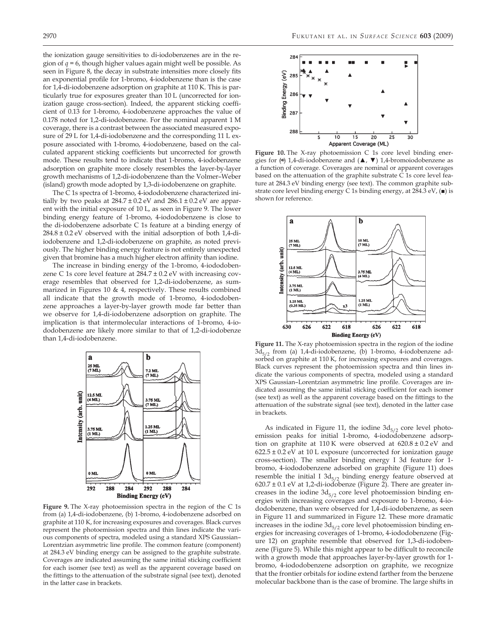the ionization gauge sensitivities to di-iodobenzenes are in the region of *q* = 6, though higher values again might well be possible. As seen in Figure 8, the decay in substrate intensities more closely fits an exponential profile for 1-bromo, 4-iodobenzene than is the case for 1,4-di-iodobenzene adsorption on graphite at 110 K. This is particularly true for exposures greater than 10 L (uncorrected for ionization gauge cross-section). Indeed, the apparent sticking coefficient of 0.13 for 1-bromo, 4-iodobenzene approaches the value of 0.178 noted for 1,2-di-iodobenzene. For the nominal apparent 1 M coverage, there is a contrast between the associated measured exposure of 29 L for 1,4-di-iodobenzene and the corresponding 11 L exposure associated with 1-bromo, 4-iodobenzene, based on the calculated apparent sticking coefficients but uncorrected for growth mode. These results tend to indicate that 1-bromo, 4-iodobenzene adsorption on graphite more closely resembles the layer-by-layer growth mechanisms of 1,2-di-iodobenzene than the Volmer–Weber (island) growth mode adopted by 1,3-di-iodobenzene on graphite.

The C 1s spectra of 1-bromo, 4-iododobenzene characterized initially by two peaks at  $284.7 \pm 0.2$  eV and  $286.1 \pm 0.2$  eV are apparent with the initial exposure of 10 L, as seen in Figure 9. The lower binding energy feature of 1-bromo, 4-iododobenzene is close to the di-iodobenzene adsorbate C 1s feature at a binding energy of 284.8 ± 0.2 eV observed with the initial adsorption of both 1,4-diiodobenzene and 1,2-di-iodobenzene on graphite, as noted previously. The higher binding energy feature is not entirely unexpected given that bromine has a much higher electron affinity than iodine.

The increase in binding energy of the 1-bromo, 4-iododobenzene C 1s core level feature at  $284.7 \pm 0.2$  eV with increasing coverage resembles that observed for 1,2-di-iodobenzene, as summarized in Figures 10 & 4, respectively. These results combined all indicate that the growth mode of 1-bromo, 4-iododobenzene approaches a layer-by-layer growth mode far better than we observe for 1,4-di-iodobenzene adsorption on graphite. The implication is that intermolecular interactions of 1-bromo, 4-iododobenzene are likely more similar to that of 1,2-di-iodobenze than 1,4-di-iodobenzene.



**Figure 9.** The X-ray photoemission spectra in the region of the C 1s from (a) 1,4-di-iodobenzene, (b) 1-bromo, 4-iodobenzene adsorbed on graphite at 110 K, for increasing exposures and coverages. Black curves represent the photoemission spectra and thin lines indicate the various components of spectra, modeled using a standard XPS Gaussian– Lorentzian asymmetric line profile. The common feature (component) at 284.3 eV binding energy can be assigned to the graphite substrate. Coverages are indicated assuming the same initial sticking coefficient for each isomer (see text) as well as the apparent coverage based on the fittings to the attenuation of the substrate signal (see text), denoted in the latter case in brackets.



**Figure 10.** The X-ray photoemission C 1s core level binding energies for  $(\star)$  1,4-di-iodobenzene and  $(\blacktriangle, \blacktriangledown)$  1,4-bromoiodobenzene as a function of coverage. Coverages are nominal or apparent coverages based on the attenuation of the graphite substrate C 1s core level feature at 284.3 eV binding energy (see text). The common graphite substrate core level binding energy C 1s binding energy, at 284.3 eV, (■) is shown for reference.



**Figure 11.** The X-ray photoemission spectra in the region of the iodine  $3d_{5/2}$  from (a) 1,4-di-iodobenzene, (b) 1-bromo, 4-iodobenzene adsorbed on graphite at 110 K, for increasing exposures and coverages. Black curves represent the photoemission spectra and thin lines indicate the various components of spectra, modeled using a standard XPS Gaussian–Lorentzian asymmetric line profile. Coverages are indicated assuming the same initial sticking coefficient for each isomer (see text) as well as the apparent coverage based on the fittings to the attenuation of the substrate signal (see text), denoted in the latter case in brackets.

As indicated in Figure 11, the iodine  $3d_{5/2}$  core level photoemission peaks for initial 1-bromo, 4-iododobenzene adsorption on graphite at 110 K were observed at 620.8 ± 0.2 eV and  $622.5 \pm 0.2$  eV at 10 L exposure (uncorrected for ionization gauge cross-section). The smaller binding energy I 3d feature for 1 bromo, 4-iododobenzene adsorbed on graphite (Figure 11) does resemble the initial I  $3d_{5/2}$  binding energy feature observed at  $620.7 \pm 0.1$  eV at 1,2-di-iodobenze (Figure 2). There are greater increases in the iodine  $3d_{5/2}$  core level photoemission binding energies with increasing coverages and exposure to 1-bromo, 4-iododobenzene, than were observed for 1,4-di-iodobenzene, as seen in Figure 11 and summarized in Figure 12. These more dramatic increases in the iodine  $3d_{5/2}$  core level photoemission binding energies for increasing coverages of 1-bromo, 4-iododobenzene (Figure 12) on graphite resemble that observed for 1,3-di-iodobenzene (Figure 5). While this might appear to be difficult to reconcile with a growth mode that approaches layer-by-layer growth for 1 bromo, 4-iododobenzene adsorption on graphite, we recognize that the frontier orbitals for iodine extend farther from the benzene molecular backbone than is the case of bromine. The large shifts in